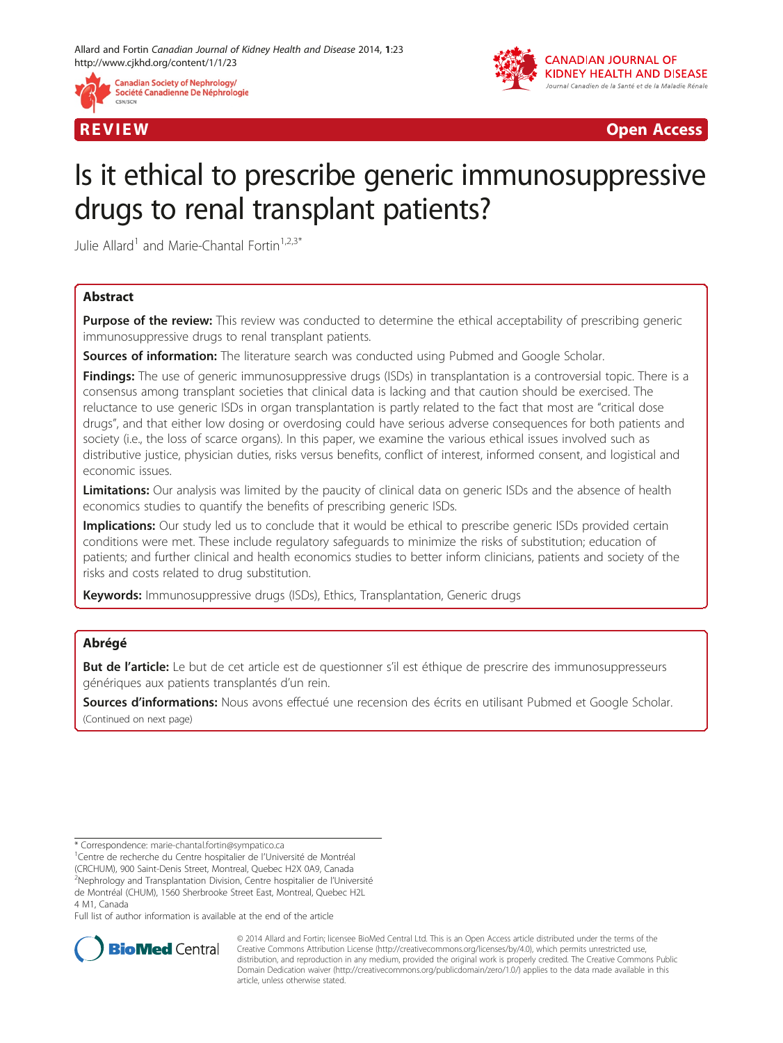



R EVI EW Open Access

# Is it ethical to prescribe generic immunosuppressive drugs to renal transplant patients?

Julie Allard<sup>1</sup> and Marie-Chantal Fortin<sup>1,2,3\*</sup>

# Abstract

Purpose of the review: This review was conducted to determine the ethical acceptability of prescribing generic immunosuppressive drugs to renal transplant patients.

Sources of information: The literature search was conducted using Pubmed and Google Scholar.

Findings: The use of generic immunosuppressive drugs (ISDs) in transplantation is a controversial topic. There is a consensus among transplant societies that clinical data is lacking and that caution should be exercised. The reluctance to use generic ISDs in organ transplantation is partly related to the fact that most are "critical dose drugs", and that either low dosing or overdosing could have serious adverse consequences for both patients and society (i.e., the loss of scarce organs). In this paper, we examine the various ethical issues involved such as distributive justice, physician duties, risks versus benefits, conflict of interest, informed consent, and logistical and economic issues.

Limitations: Our analysis was limited by the paucity of clinical data on generic ISDs and the absence of health economics studies to quantify the benefits of prescribing generic ISDs.

Implications: Our study led us to conclude that it would be ethical to prescribe generic ISDs provided certain conditions were met. These include regulatory safeguards to minimize the risks of substitution; education of patients; and further clinical and health economics studies to better inform clinicians, patients and society of the risks and costs related to drug substitution.

Keywords: Immunosuppressive drugs (ISDs), Ethics, Transplantation, Generic drugs

# Abrégé

But de l'article: Le but de cet article est de questionner s'il est éthique de prescrire des immunosuppresseurs génériques aux patients transplantés d'un rein.

Sources d'informations: Nous avons effectué une recension des écrits en utilisant Pubmed et Google Scholar. (Continued on next page)

(CRCHUM), 900 Saint-Denis Street, Montreal, Quebec H2X 0A9, Canada <sup>2</sup>Nephrology and Transplantation Division, Centre hospitalier de l'Université de Montréal (CHUM), 1560 Sherbrooke Street East, Montreal, Quebec H2L

4 M1, Canada

Full list of author information is available at the end of the article



© 2014 Allard and Fortin; licensee BioMed Central Ltd. This is an Open Access article distributed under the terms of the Creative Commons Attribution License (<http://creativecommons.org/licenses/by/4.0>), which permits unrestricted use, distribution, and reproduction in any medium, provided the original work is properly credited. The Creative Commons Public Domain Dedication waiver [\(http://creativecommons.org/publicdomain/zero/1.0/\)](http://creativecommons.org/publicdomain/zero/1.0/) applies to the data made available in this article, unless otherwise stated.

<sup>\*</sup> Correspondence: [marie-chantal.fortin@sympatico.ca](mailto:marie-chantal.fortin@sympatico.ca) <sup>1</sup>

<sup>&</sup>lt;sup>1</sup>Centre de recherche du Centre hospitalier de l'Université de Montréal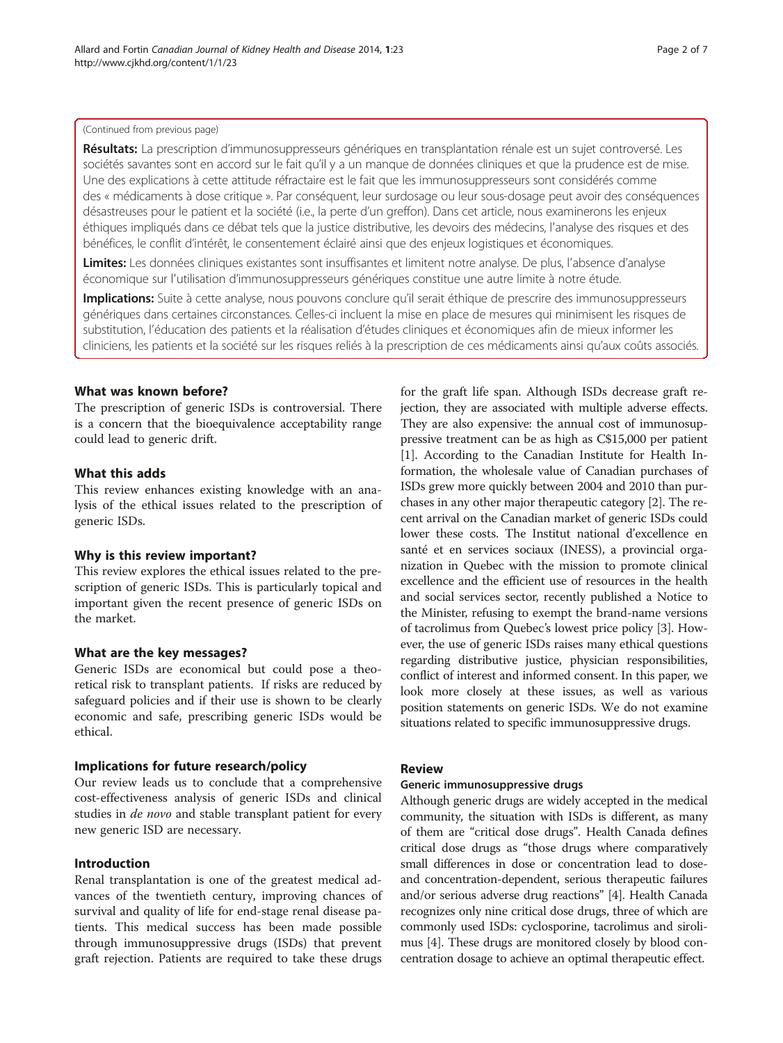## (Continued from previous page)

Résultats: La prescription d'immunosuppresseurs génériques en transplantation rénale est un sujet controversé. Les sociétés savantes sont en accord sur le fait qu'il y a un manque de données cliniques et que la prudence est de mise. Une des explications à cette attitude réfractaire est le fait que les immunosuppresseurs sont considérés comme des « médicaments à dose critique ». Par conséquent, leur surdosage ou leur sous-dosage peut avoir des conséquences désastreuses pour le patient et la société (i.e., la perte d'un greffon). Dans cet article, nous examinerons les enjeux éthiques impliqués dans ce débat tels que la justice distributive, les devoirs des médecins, l′analyse des risques et des bénéfices, le conflit d'intérêt, le consentement éclairé ainsi que des enjeux logistiques et économiques.

Limites: Les données cliniques existantes sont insuffisantes et limitent notre analyse. De plus, l'absence d'analyse économique sur l′utilisation d'immunosuppresseurs génériques constitue une autre limite à notre étude.

Implications: Suite à cette analyse, nous pouvons conclure qu'il serait éthique de prescrire des immunosuppresseurs génériques dans certaines circonstances. Celles-ci incluent la mise en place de mesures qui minimisent les risques de substitution, l′éducation des patients et la réalisation d'études cliniques et économiques afin de mieux informer les cliniciens, les patients et la société sur les risques reliés à la prescription de ces médicaments ainsi qu'aux coûts associés.

## What was known before?

The prescription of generic ISDs is controversial. There is a concern that the bioequivalence acceptability range could lead to generic drift.

## What this adds

This review enhances existing knowledge with an analysis of the ethical issues related to the prescription of generic ISDs.

## Why is this review important?

This review explores the ethical issues related to the prescription of generic ISDs. This is particularly topical and important given the recent presence of generic ISDs on the market.

## What are the key messages?

Generic ISDs are economical but could pose a theoretical risk to transplant patients. If risks are reduced by safeguard policies and if their use is shown to be clearly economic and safe, prescribing generic ISDs would be ethical.

## Implications for future research/policy

Our review leads us to conclude that a comprehensive cost-effectiveness analysis of generic ISDs and clinical studies in *de novo* and stable transplant patient for every new generic ISD are necessary.

## Introduction

Renal transplantation is one of the greatest medical advances of the twentieth century, improving chances of survival and quality of life for end-stage renal disease patients. This medical success has been made possible through immunosuppressive drugs (ISDs) that prevent graft rejection. Patients are required to take these drugs

for the graft life span. Although ISDs decrease graft rejection, they are associated with multiple adverse effects. They are also expensive: the annual cost of immunosuppressive treatment can be as high as C\$15,000 per patient [[1\]](#page-5-0). According to the Canadian Institute for Health Information, the wholesale value of Canadian purchases of ISDs grew more quickly between 2004 and 2010 than purchases in any other major therapeutic category [\[2](#page-5-0)]. The recent arrival on the Canadian market of generic ISDs could lower these costs. The Institut national d'excellence en santé et en services sociaux (INESS), a provincial organization in Quebec with the mission to promote clinical excellence and the efficient use of resources in the health and social services sector, recently published a Notice to the Minister, refusing to exempt the brand-name versions of tacrolimus from Quebec's lowest price policy [[3\]](#page-6-0). However, the use of generic ISDs raises many ethical questions regarding distributive justice, physician responsibilities, conflict of interest and informed consent. In this paper, we look more closely at these issues, as well as various position statements on generic ISDs. We do not examine situations related to specific immunosuppressive drugs.

## Review

### Generic immunosuppressive drugs

Although generic drugs are widely accepted in the medical community, the situation with ISDs is different, as many of them are "critical dose drugs". Health Canada defines critical dose drugs as "those drugs where comparatively small differences in dose or concentration lead to doseand concentration-dependent, serious therapeutic failures and/or serious adverse drug reactions" [[4](#page-6-0)]. Health Canada recognizes only nine critical dose drugs, three of which are commonly used ISDs: cyclosporine, tacrolimus and sirolimus [[4\]](#page-6-0). These drugs are monitored closely by blood concentration dosage to achieve an optimal therapeutic effect.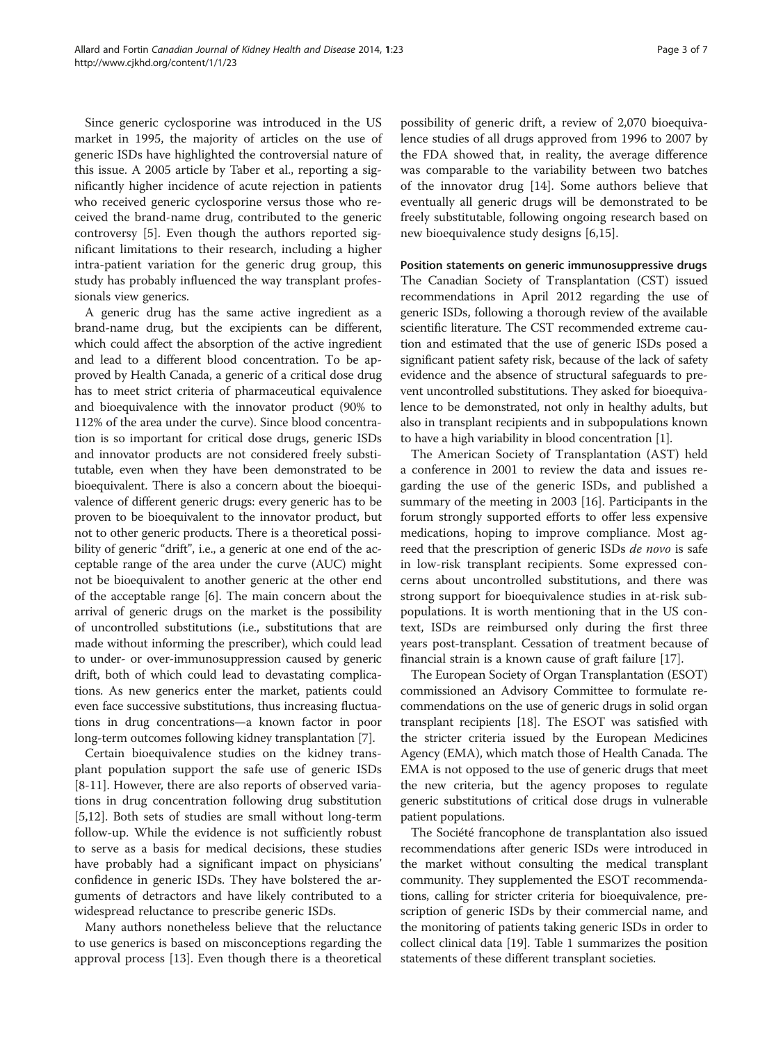Since generic cyclosporine was introduced in the US market in 1995, the majority of articles on the use of generic ISDs have highlighted the controversial nature of this issue. A 2005 article by Taber et al., reporting a significantly higher incidence of acute rejection in patients who received generic cyclosporine versus those who received the brand-name drug, contributed to the generic controversy [[5\]](#page-6-0). Even though the authors reported significant limitations to their research, including a higher intra-patient variation for the generic drug group, this study has probably influenced the way transplant professionals view generics.

A generic drug has the same active ingredient as a brand-name drug, but the excipients can be different, which could affect the absorption of the active ingredient and lead to a different blood concentration. To be approved by Health Canada, a generic of a critical dose drug has to meet strict criteria of pharmaceutical equivalence and bioequivalence with the innovator product (90% to 112% of the area under the curve). Since blood concentration is so important for critical dose drugs, generic ISDs and innovator products are not considered freely substitutable, even when they have been demonstrated to be bioequivalent. There is also a concern about the bioequivalence of different generic drugs: every generic has to be proven to be bioequivalent to the innovator product, but not to other generic products. There is a theoretical possibility of generic "drift", i.e., a generic at one end of the acceptable range of the area under the curve (AUC) might not be bioequivalent to another generic at the other end of the acceptable range [[6](#page-6-0)]. The main concern about the arrival of generic drugs on the market is the possibility of uncontrolled substitutions (i.e., substitutions that are made without informing the prescriber), which could lead to under- or over-immunosuppression caused by generic drift, both of which could lead to devastating complications. As new generics enter the market, patients could even face successive substitutions, thus increasing fluctuations in drug concentrations—a known factor in poor long-term outcomes following kidney transplantation [[7](#page-6-0)].

Certain bioequivalence studies on the kidney transplant population support the safe use of generic ISDs [[8-11](#page-6-0)]. However, there are also reports of observed variations in drug concentration following drug substitution [[5,12\]](#page-6-0). Both sets of studies are small without long-term follow-up. While the evidence is not sufficiently robust to serve as a basis for medical decisions, these studies have probably had a significant impact on physicians' confidence in generic ISDs. They have bolstered the arguments of detractors and have likely contributed to a widespread reluctance to prescribe generic ISDs.

Many authors nonetheless believe that the reluctance to use generics is based on misconceptions regarding the approval process [[13\]](#page-6-0). Even though there is a theoretical

possibility of generic drift, a review of 2,070 bioequivalence studies of all drugs approved from 1996 to 2007 by the FDA showed that, in reality, the average difference was comparable to the variability between two batches of the innovator drug [\[14](#page-6-0)]. Some authors believe that eventually all generic drugs will be demonstrated to be freely substitutable, following ongoing research based on new bioequivalence study designs [\[6,15](#page-6-0)].

Position statements on generic immunosuppressive drugs The Canadian Society of Transplantation (CST) issued recommendations in April 2012 regarding the use of generic ISDs, following a thorough review of the available scientific literature. The CST recommended extreme caution and estimated that the use of generic ISDs posed a significant patient safety risk, because of the lack of safety evidence and the absence of structural safeguards to prevent uncontrolled substitutions. They asked for bioequivalence to be demonstrated, not only in healthy adults, but also in transplant recipients and in subpopulations known to have a high variability in blood concentration [[1\]](#page-5-0).

The American Society of Transplantation (AST) held a conference in 2001 to review the data and issues regarding the use of the generic ISDs, and published a summary of the meeting in 2003 [\[16\]](#page-6-0). Participants in the forum strongly supported efforts to offer less expensive medications, hoping to improve compliance. Most agreed that the prescription of generic ISDs de novo is safe in low-risk transplant recipients. Some expressed concerns about uncontrolled substitutions, and there was strong support for bioequivalence studies in at-risk subpopulations. It is worth mentioning that in the US context, ISDs are reimbursed only during the first three years post-transplant. Cessation of treatment because of financial strain is a known cause of graft failure [\[17](#page-6-0)].

The European Society of Organ Transplantation (ESOT) commissioned an Advisory Committee to formulate recommendations on the use of generic drugs in solid organ transplant recipients [\[18\]](#page-6-0). The ESOT was satisfied with the stricter criteria issued by the European Medicines Agency (EMA), which match those of Health Canada. The EMA is not opposed to the use of generic drugs that meet the new criteria, but the agency proposes to regulate generic substitutions of critical dose drugs in vulnerable patient populations.

The Société francophone de transplantation also issued recommendations after generic ISDs were introduced in the market without consulting the medical transplant community. They supplemented the ESOT recommendations, calling for stricter criteria for bioequivalence, prescription of generic ISDs by their commercial name, and the monitoring of patients taking generic ISDs in order to collect clinical data [[19](#page-6-0)]. Table [1](#page-3-0) summarizes the position statements of these different transplant societies.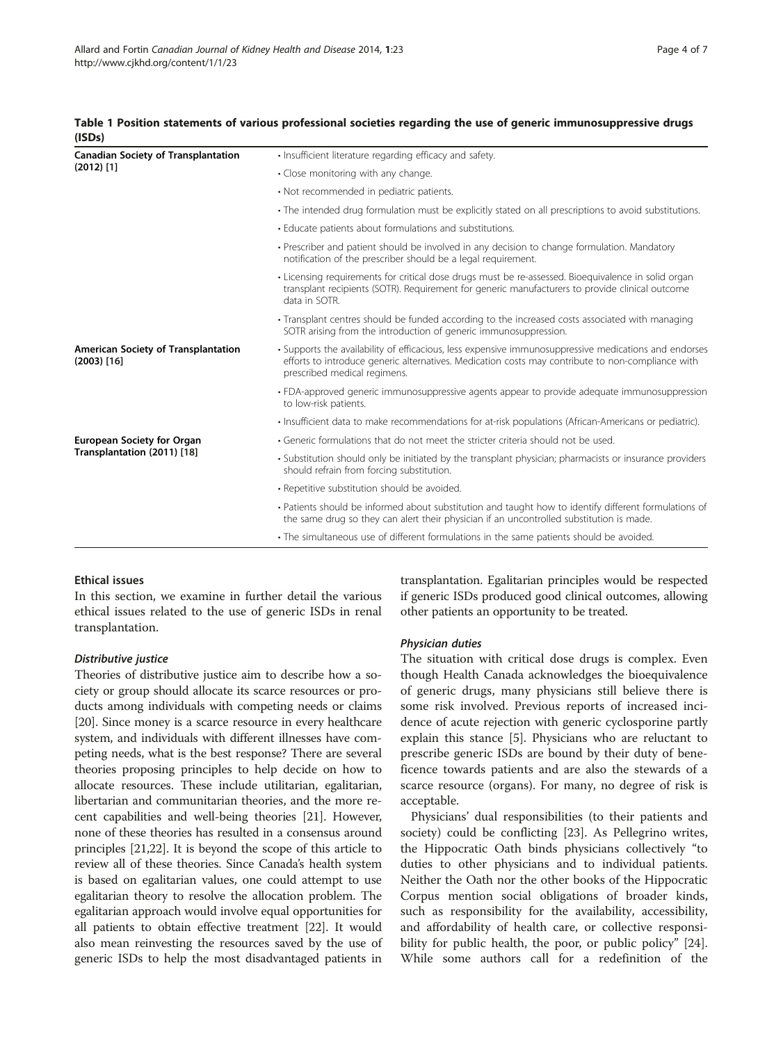| <b>Canadian Society of Transplantation</b><br>$(2012)$ [1]       | · Insufficient literature regarding efficacy and safety.                                                                                                                                                                                   |
|------------------------------------------------------------------|--------------------------------------------------------------------------------------------------------------------------------------------------------------------------------------------------------------------------------------------|
|                                                                  | • Close monitoring with any change.                                                                                                                                                                                                        |
|                                                                  | • Not recommended in pediatric patients.                                                                                                                                                                                                   |
|                                                                  | • The intended drug formulation must be explicitly stated on all prescriptions to avoid substitutions.                                                                                                                                     |
|                                                                  | • Educate patients about formulations and substitutions.                                                                                                                                                                                   |
|                                                                  | • Prescriber and patient should be involved in any decision to change formulation. Mandatory<br>notification of the prescriber should be a legal requirement.                                                                              |
|                                                                  | • Licensing requirements for critical dose drugs must be re-assessed. Bioequivalence in solid organ<br>transplant recipients (SOTR). Requirement for generic manufacturers to provide clinical outcome<br>data in SOTR.                    |
|                                                                  | • Transplant centres should be funded according to the increased costs associated with managing<br>SOTR arising from the introduction of generic immunosuppression.                                                                        |
| American Society of Transplantation<br>$(2003)$ [16]             | • Supports the availability of efficacious, less expensive immunosuppressive medications and endorses<br>efforts to introduce generic alternatives. Medication costs may contribute to non-compliance with<br>prescribed medical regimens. |
|                                                                  | • FDA-approved generic immunosuppressive agents appear to provide adequate immunosuppression<br>to low-risk patients.                                                                                                                      |
|                                                                  | · Insufficient data to make recommendations for at-risk populations (African-Americans or pediatric).                                                                                                                                      |
| <b>European Society for Organ</b><br>Transplantation (2011) [18] | • Generic formulations that do not meet the stricter criteria should not be used.                                                                                                                                                          |
|                                                                  | • Substitution should only be initiated by the transplant physician; pharmacists or insurance providers<br>should refrain from forcing substitution.                                                                                       |
|                                                                  | • Repetitive substitution should be avoided.                                                                                                                                                                                               |
|                                                                  | • Patients should be informed about substitution and taught how to identify different formulations of<br>the same drug so they can alert their physician if an uncontrolled substitution is made.                                          |
|                                                                  | • The simultaneous use of different formulations in the same patients should be avoided.                                                                                                                                                   |

## <span id="page-3-0"></span>Table 1 Position statements of various professional societies regarding the use of generic immunosuppressive drugs (ISDs)

## Ethical issues

In this section, we examine in further detail the various ethical issues related to the use of generic ISDs in renal transplantation.

## Distributive justice

Theories of distributive justice aim to describe how a society or group should allocate its scarce resources or products among individuals with competing needs or claims [[20](#page-6-0)]. Since money is a scarce resource in every healthcare system, and individuals with different illnesses have competing needs, what is the best response? There are several theories proposing principles to help decide on how to allocate resources. These include utilitarian, egalitarian, libertarian and communitarian theories, and the more recent capabilities and well-being theories [\[21](#page-6-0)]. However, none of these theories has resulted in a consensus around principles [\[21,22](#page-6-0)]. It is beyond the scope of this article to review all of these theories. Since Canada's health system is based on egalitarian values, one could attempt to use egalitarian theory to resolve the allocation problem. The egalitarian approach would involve equal opportunities for all patients to obtain effective treatment [\[22\]](#page-6-0). It would also mean reinvesting the resources saved by the use of generic ISDs to help the most disadvantaged patients in

transplantation. Egalitarian principles would be respected if generic ISDs produced good clinical outcomes, allowing other patients an opportunity to be treated.

#### Physician duties

The situation with critical dose drugs is complex. Even though Health Canada acknowledges the bioequivalence of generic drugs, many physicians still believe there is some risk involved. Previous reports of increased incidence of acute rejection with generic cyclosporine partly explain this stance [\[5](#page-6-0)]. Physicians who are reluctant to prescribe generic ISDs are bound by their duty of beneficence towards patients and are also the stewards of a scarce resource (organs). For many, no degree of risk is acceptable.

Physicians' dual responsibilities (to their patients and society) could be conflicting [[23\]](#page-6-0). As Pellegrino writes, the Hippocratic Oath binds physicians collectively "to duties to other physicians and to individual patients. Neither the Oath nor the other books of the Hippocratic Corpus mention social obligations of broader kinds, such as responsibility for the availability, accessibility, and affordability of health care, or collective responsibility for public health, the poor, or public policy" [\[24](#page-6-0)]. While some authors call for a redefinition of the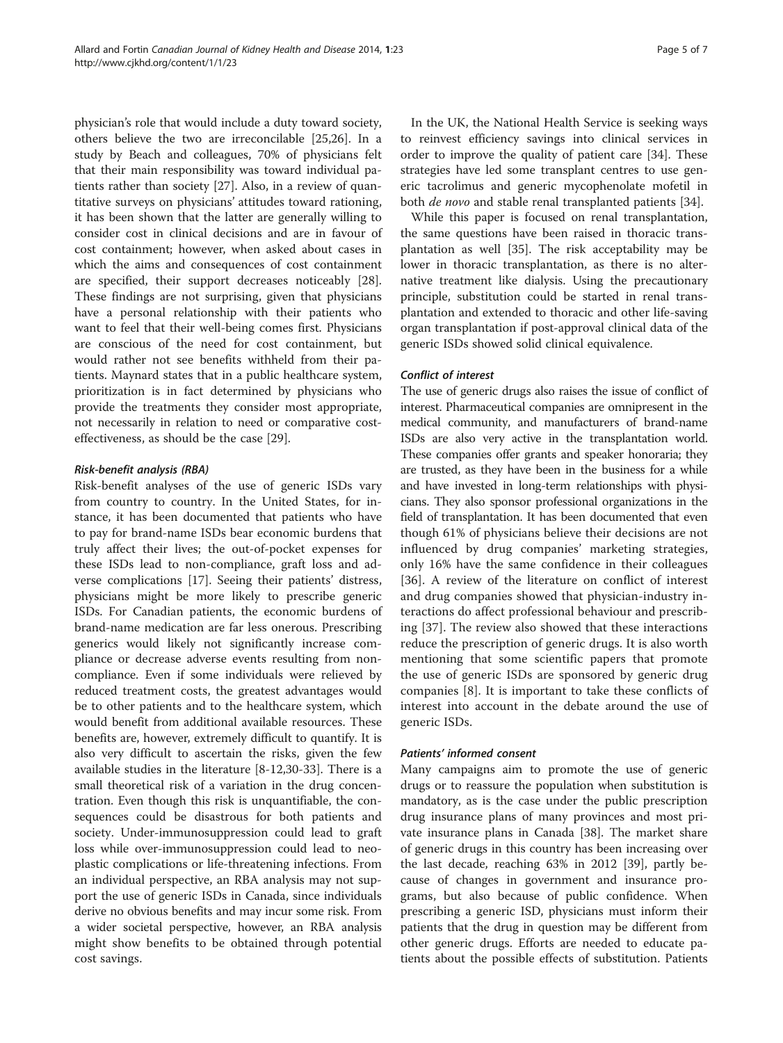physician's role that would include a duty toward society, others believe the two are irreconcilable [\[25,26\]](#page-6-0). In a study by Beach and colleagues, 70% of physicians felt that their main responsibility was toward individual patients rather than society [[27](#page-6-0)]. Also, in a review of quantitative surveys on physicians' attitudes toward rationing, it has been shown that the latter are generally willing to consider cost in clinical decisions and are in favour of cost containment; however, when asked about cases in which the aims and consequences of cost containment are specified, their support decreases noticeably [\[28](#page-6-0)]. These findings are not surprising, given that physicians have a personal relationship with their patients who want to feel that their well-being comes first. Physicians are conscious of the need for cost containment, but would rather not see benefits withheld from their patients. Maynard states that in a public healthcare system, prioritization is in fact determined by physicians who provide the treatments they consider most appropriate, not necessarily in relation to need or comparative costeffectiveness, as should be the case [\[29\]](#page-6-0).

## Risk-benefit analysis (RBA)

Risk-benefit analyses of the use of generic ISDs vary from country to country. In the United States, for instance, it has been documented that patients who have to pay for brand-name ISDs bear economic burdens that truly affect their lives; the out-of-pocket expenses for these ISDs lead to non-compliance, graft loss and adverse complications [\[17\]](#page-6-0). Seeing their patients' distress, physicians might be more likely to prescribe generic ISDs. For Canadian patients, the economic burdens of brand-name medication are far less onerous. Prescribing generics would likely not significantly increase compliance or decrease adverse events resulting from noncompliance. Even if some individuals were relieved by reduced treatment costs, the greatest advantages would be to other patients and to the healthcare system, which would benefit from additional available resources. These benefits are, however, extremely difficult to quantify. It is also very difficult to ascertain the risks, given the few available studies in the literature [\[8-12,30](#page-6-0)-[33\]](#page-6-0). There is a small theoretical risk of a variation in the drug concentration. Even though this risk is unquantifiable, the consequences could be disastrous for both patients and society. Under-immunosuppression could lead to graft loss while over-immunosuppression could lead to neoplastic complications or life-threatening infections. From an individual perspective, an RBA analysis may not support the use of generic ISDs in Canada, since individuals derive no obvious benefits and may incur some risk. From a wider societal perspective, however, an RBA analysis might show benefits to be obtained through potential cost savings.

In the UK, the National Health Service is seeking ways to reinvest efficiency savings into clinical services in order to improve the quality of patient care [\[34](#page-6-0)]. These strategies have led some transplant centres to use generic tacrolimus and generic mycophenolate mofetil in both *de novo* and stable renal transplanted patients [\[34](#page-6-0)].

While this paper is focused on renal transplantation, the same questions have been raised in thoracic transplantation as well [\[35](#page-6-0)]. The risk acceptability may be lower in thoracic transplantation, as there is no alternative treatment like dialysis. Using the precautionary principle, substitution could be started in renal transplantation and extended to thoracic and other life-saving organ transplantation if post-approval clinical data of the generic ISDs showed solid clinical equivalence.

## Conflict of interest

The use of generic drugs also raises the issue of conflict of interest. Pharmaceutical companies are omnipresent in the medical community, and manufacturers of brand-name ISDs are also very active in the transplantation world. These companies offer grants and speaker honoraria; they are trusted, as they have been in the business for a while and have invested in long-term relationships with physicians. They also sponsor professional organizations in the field of transplantation. It has been documented that even though 61% of physicians believe their decisions are not influenced by drug companies' marketing strategies, only 16% have the same confidence in their colleagues [[36\]](#page-6-0). A review of the literature on conflict of interest and drug companies showed that physician-industry interactions do affect professional behaviour and prescribing [[37\]](#page-6-0). The review also showed that these interactions reduce the prescription of generic drugs. It is also worth mentioning that some scientific papers that promote the use of generic ISDs are sponsored by generic drug companies [[8\]](#page-6-0). It is important to take these conflicts of interest into account in the debate around the use of generic ISDs.

## Patients' informed consent

Many campaigns aim to promote the use of generic drugs or to reassure the population when substitution is mandatory, as is the case under the public prescription drug insurance plans of many provinces and most private insurance plans in Canada [\[38](#page-6-0)]. The market share of generic drugs in this country has been increasing over the last decade, reaching 63% in 2012 [\[39](#page-6-0)], partly because of changes in government and insurance programs, but also because of public confidence. When prescribing a generic ISD, physicians must inform their patients that the drug in question may be different from other generic drugs. Efforts are needed to educate patients about the possible effects of substitution. Patients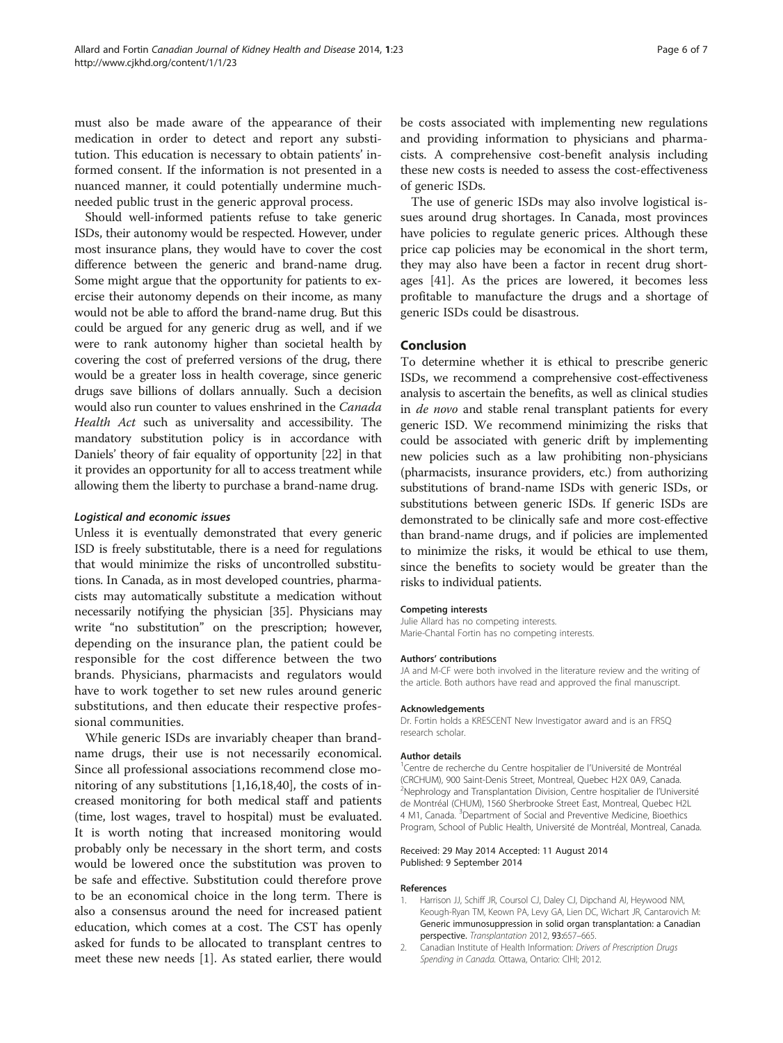<span id="page-5-0"></span>must also be made aware of the appearance of their medication in order to detect and report any substitution. This education is necessary to obtain patients' informed consent. If the information is not presented in a nuanced manner, it could potentially undermine muchneeded public trust in the generic approval process.

Should well-informed patients refuse to take generic ISDs, their autonomy would be respected. However, under most insurance plans, they would have to cover the cost difference between the generic and brand-name drug. Some might argue that the opportunity for patients to exercise their autonomy depends on their income, as many would not be able to afford the brand-name drug. But this could be argued for any generic drug as well, and if we were to rank autonomy higher than societal health by covering the cost of preferred versions of the drug, there would be a greater loss in health coverage, since generic drugs save billions of dollars annually. Such a decision would also run counter to values enshrined in the Canada Health Act such as universality and accessibility. The mandatory substitution policy is in accordance with Daniels' theory of fair equality of opportunity [[22](#page-6-0)] in that it provides an opportunity for all to access treatment while allowing them the liberty to purchase a brand-name drug.

## Logistical and economic issues

Unless it is eventually demonstrated that every generic ISD is freely substitutable, there is a need for regulations that would minimize the risks of uncontrolled substitutions. In Canada, as in most developed countries, pharmacists may automatically substitute a medication without necessarily notifying the physician [[35](#page-6-0)]. Physicians may write "no substitution" on the prescription; however, depending on the insurance plan, the patient could be responsible for the cost difference between the two brands. Physicians, pharmacists and regulators would have to work together to set new rules around generic substitutions, and then educate their respective professional communities.

While generic ISDs are invariably cheaper than brandname drugs, their use is not necessarily economical. Since all professional associations recommend close monitoring of any substitutions [1[,16,18,40](#page-6-0)], the costs of increased monitoring for both medical staff and patients (time, lost wages, travel to hospital) must be evaluated. It is worth noting that increased monitoring would probably only be necessary in the short term, and costs would be lowered once the substitution was proven to be safe and effective. Substitution could therefore prove to be an economical choice in the long term. There is also a consensus around the need for increased patient education, which comes at a cost. The CST has openly asked for funds to be allocated to transplant centres to meet these new needs [1]. As stated earlier, there would be costs associated with implementing new regulations and providing information to physicians and pharmacists. A comprehensive cost-benefit analysis including these new costs is needed to assess the cost-effectiveness of generic ISDs.

The use of generic ISDs may also involve logistical issues around drug shortages. In Canada, most provinces have policies to regulate generic prices. Although these price cap policies may be economical in the short term, they may also have been a factor in recent drug shortages [[41](#page-6-0)]. As the prices are lowered, it becomes less profitable to manufacture the drugs and a shortage of generic ISDs could be disastrous.

## Conclusion

To determine whether it is ethical to prescribe generic ISDs, we recommend a comprehensive cost-effectiveness analysis to ascertain the benefits, as well as clinical studies in de novo and stable renal transplant patients for every generic ISD. We recommend minimizing the risks that could be associated with generic drift by implementing new policies such as a law prohibiting non-physicians (pharmacists, insurance providers, etc.) from authorizing substitutions of brand-name ISDs with generic ISDs, or substitutions between generic ISDs. If generic ISDs are demonstrated to be clinically safe and more cost-effective than brand-name drugs, and if policies are implemented to minimize the risks, it would be ethical to use them, since the benefits to society would be greater than the risks to individual patients.

#### Competing interests

Julie Allard has no competing interests. Marie-Chantal Fortin has no competing interests.

#### Authors' contributions

JA and M-CF were both involved in the literature review and the writing of the article. Both authors have read and approved the final manuscript.

#### Acknowledgements

Dr. Fortin holds a KRESCENT New Investigator award and is an FRSQ research scholar.

#### Author details

<sup>1</sup> Centre de recherche du Centre hospitalier de l'Université de Montréal (CRCHUM), 900 Saint-Denis Street, Montreal, Quebec H2X 0A9, Canada. <sup>2</sup>Nephrology and Transplantation Division, Centre hospitalier de l'Université de Montréal (CHUM), 1560 Sherbrooke Street East, Montreal, Quebec H2L 4 M1, Canada. <sup>3</sup>Department of Social and Preventive Medicine, Bioethics Program, School of Public Health, Université de Montréal, Montreal, Canada.

#### Received: 29 May 2014 Accepted: 11 August 2014 Published: 9 September 2014

#### References

- 1. Harrison JJ, Schiff JR, Coursol CJ, Daley CJ, Dipchand AI, Heywood NM, Keough-Ryan TM, Keown PA, Levy GA, Lien DC, Wichart JR, Cantarovich M: Generic immunosuppression in solid organ transplantation: a Canadian perspective. Transplantation 2012, 93:657–665.
- 2. Canadian Institute of Health Information: Drivers of Prescription Drugs Spending in Canada. Ottawa, Ontario: CIHI; 2012.